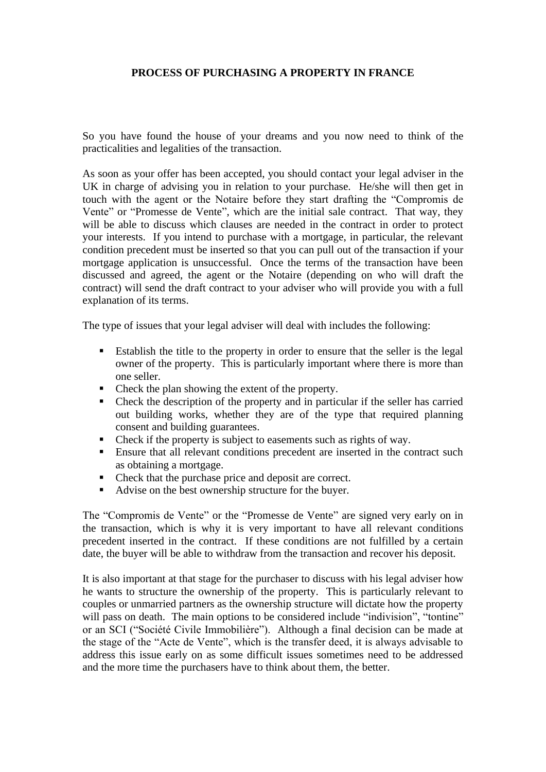## **PROCESS OF PURCHASING A PROPERTY IN FRANCE**

So you have found the house of your dreams and you now need to think of the practicalities and legalities of the transaction.

As soon as your offer has been accepted, you should contact your legal adviser in the UK in charge of advising you in relation to your purchase. He/she will then get in touch with the agent or the Notaire before they start drafting the "Compromis de Vente" or "Promesse de Vente", which are the initial sale contract. That way, they will be able to discuss which clauses are needed in the contract in order to protect your interests. If you intend to purchase with a mortgage, in particular, the relevant condition precedent must be inserted so that you can pull out of the transaction if your mortgage application is unsuccessful. Once the terms of the transaction have been discussed and agreed, the agent or the Notaire (depending on who will draft the contract) will send the draft contract to your adviser who will provide you with a full explanation of its terms.

The type of issues that your legal adviser will deal with includes the following:

- Establish the title to the property in order to ensure that the seller is the legal owner of the property. This is particularly important where there is more than one seller.
- Check the plan showing the extent of the property.
- Check the description of the property and in particular if the seller has carried out building works, whether they are of the type that required planning consent and building guarantees.
- Check if the property is subject to easements such as rights of way.
- Ensure that all relevant conditions precedent are inserted in the contract such as obtaining a mortgage.
- Check that the purchase price and deposit are correct.
- Advise on the best ownership structure for the buyer.

The "Compromis de Vente" or the "Promesse de Vente" are signed very early on in the transaction, which is why it is very important to have all relevant conditions precedent inserted in the contract. If these conditions are not fulfilled by a certain date, the buyer will be able to withdraw from the transaction and recover his deposit.

It is also important at that stage for the purchaser to discuss with his legal adviser how he wants to structure the ownership of the property. This is particularly relevant to couples or unmarried partners as the ownership structure will dictate how the property will pass on death. The main options to be considered include "indivision", "tontine" or an SCI ("Société Civile Immobilière"). Although a final decision can be made at the stage of the "Acte de Vente", which is the transfer deed, it is always advisable to address this issue early on as some difficult issues sometimes need to be addressed and the more time the purchasers have to think about them, the better.